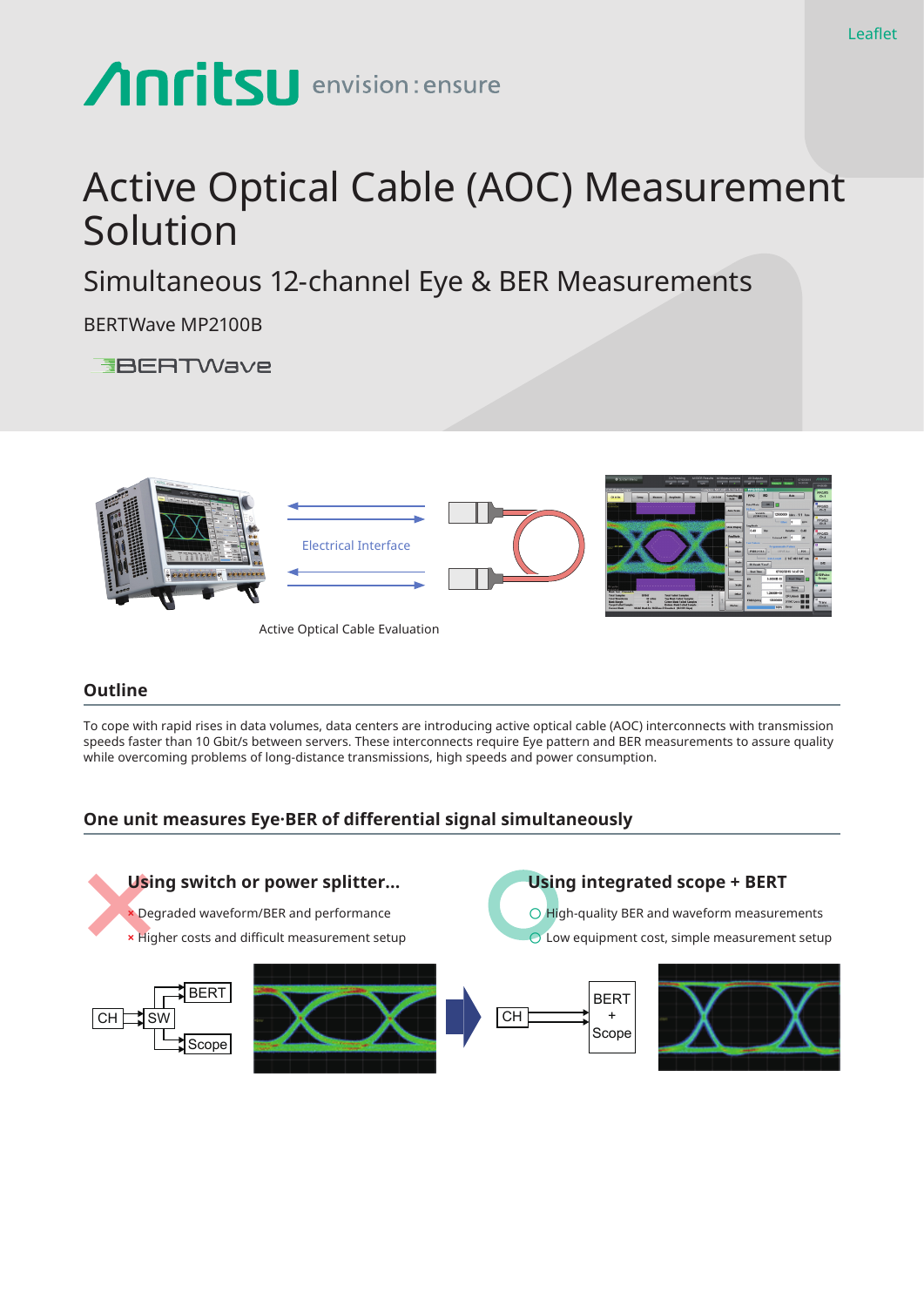# **Anritsu** envision: ensure

## Active Optical Cable (AOC) Measurement Solution

Simultaneous 12-channel Eye & BER Measurements

BERTWave MP2100B

**EBERTWave** 



Active Optical Cable Evaluation

#### **Outline**

To cope with rapid rises in data volumes, data centers are introducing active optical cable (AOC) interconnects with transmission speeds faster than 10 Gbit/s between servers. These interconnects require Eye pattern and BER measurements to assure quality while overcoming problems of long-distance transmissions, high speeds and power consumption.

#### **One unit measures Eye·BER of differential signal simultaneously**